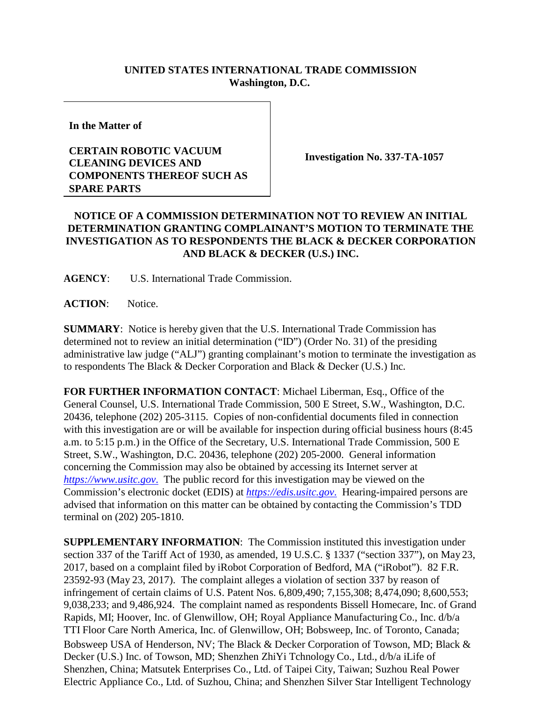## **UNITED STATES INTERNATIONAL TRADE COMMISSION Washington, D.C.**

**In the Matter of**

## **CERTAIN ROBOTIC VACUUM CLEANING DEVICES AND COMPONENTS THEREOF SUCH AS SPARE PARTS**

**Investigation No. 337-TA-1057**

## **NOTICE OF A COMMISSION DETERMINATION NOT TO REVIEW AN INITIAL DETERMINATION GRANTING COMPLAINANT'S MOTION TO TERMINATE THE INVESTIGATION AS TO RESPONDENTS THE BLACK & DECKER CORPORATION AND BLACK & DECKER (U.S.) INC.**

**AGENCY**: U.S. International Trade Commission.

**ACTION**: Notice.

**SUMMARY**: Notice is hereby given that the U.S. International Trade Commission has determined not to review an initial determination ("ID") (Order No. 31) of the presiding administrative law judge ("ALJ") granting complainant's motion to terminate the investigation as to respondents The Black & Decker Corporation and Black & Decker (U.S.) Inc.

**FOR FURTHER INFORMATION CONTACT**: Michael Liberman, Esq., Office of the General Counsel, U.S. International Trade Commission, 500 E Street, S.W., Washington, D.C. 20436, telephone (202) 205-3115. Copies of non-confidential documents filed in connection with this investigation are or will be available for inspection during official business hours (8:45) a.m. to 5:15 p.m.) in the Office of the Secretary, U.S. International Trade Commission, 500 E Street, S.W., Washington, D.C. 20436, telephone (202) 205-2000. General information concerning the Commission may also be obtained by accessing its Internet server at *[https://www.usitc.gov](https://www.usitc.gov./)*. The public record for this investigation may be viewed on the Commission's electronic docket (EDIS) at *[https://edis.usitc.gov](https://edis.usitc.gov./)*. Hearing-impaired persons are advised that information on this matter can be obtained by contacting the Commission's TDD terminal on (202) 205-1810.

**SUPPLEMENTARY INFORMATION**: The Commission instituted this investigation under section 337 of the Tariff Act of 1930, as amended, 19 U.S.C. § 1337 ("section 337"), on May 23, 2017, based on a complaint filed by iRobot Corporation of Bedford, MA ("iRobot"). 82 F.R. 23592-93 (May 23, 2017). The complaint alleges a violation of section 337 by reason of infringement of certain claims of U.S. Patent Nos. 6,809,490; 7,155,308; 8,474,090; 8,600,553; 9,038,233; and 9,486,924. The complaint named as respondents Bissell Homecare, Inc. of Grand Rapids, MI; Hoover, Inc. of Glenwillow, OH; Royal Appliance Manufacturing Co., Inc. d/b/a TTI Floor Care North America, Inc. of Glenwillow, OH; Bobsweep, Inc. of Toronto, Canada; Bobsweep USA of Henderson, NV; The Black & Decker Corporation of Towson, MD; Black & Decker (U.S.) Inc. of Towson, MD; Shenzhen ZhiYi Tchnology Co., Ltd., d/b/a iLife of Shenzhen, China; Matsutek Enterprises Co., Ltd. of Taipei City, Taiwan; Suzhou Real Power Electric Appliance Co., Ltd. of Suzhou, China; and Shenzhen Silver Star Intelligent Technology